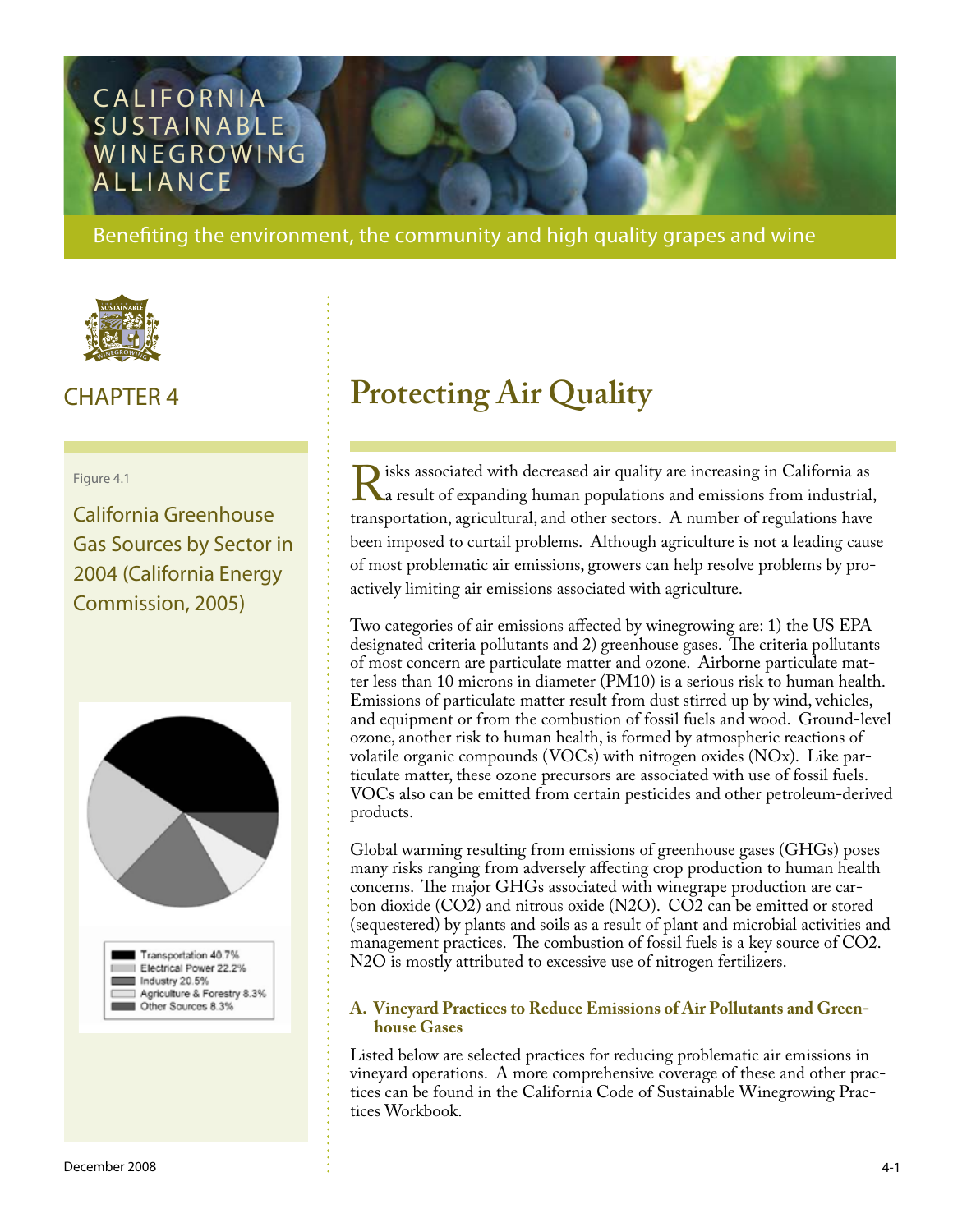# **CALIFORNIA** SUSTAINABLE **WINEGROWING ALLIANCE**

Benefiting the environment, the community and high quality grapes and wine



#### Figure 4.1

California Greenhouse Gas Sources by Sector in 2004 (California Energy Commission, 2005)





# CHAPTER 4 **Protecting Air Quality**

Risks associated with decreased air quality are increasing in California as<br>a result of expanding human populations and emissions from industrial<br>transportation, agricultural, and other sectors. A number of regulations hav a result of expanding human populations and emissions from industrial, transportation, agricultural, and other sectors. A number of regulations have been imposed to curtail problems. Although agriculture is not a leading cause of most problematic air emissions, growers can help resolve problems by proactively limiting air emissions associated with agriculture.

Two categories of air emissions affected by winegrowing are: 1) the US EPA designated criteria pollutants and 2) greenhouse gases. The criteria pollutants of most concern are particulate matter and ozone. Airborne particulate matter less than 10 microns in diameter (PM10) is a serious risk to human health. Emissions of particulate matter result from dust stirred up by wind, vehicles, and equipment or from the combustion of fossil fuels and wood. Ground-level ozone, another risk to human health, is formed by atmospheric reactions of volatile organic compounds (VOCs) with nitrogen oxides (NOx). Like particulate matter, these ozone precursors are associated with use of fossil fuels. VOCs also can be emitted from certain pesticides and other petroleum-derived products.

Global warming resulting from emissions of greenhouse gases (GHGs) poses many risks ranging from adversely affecting crop production to human health concerns. The major GHGs associated with winegrape production are carbon dioxide (CO2) and nitrous oxide (N2O). CO2 can be emitted or stored (sequestered) by plants and soils as a result of plant and microbial activities and management practices. The combustion of fossil fuels is a key source of CO2. N2O is mostly attributed to excessive use of nitrogen fertilizers.

#### **A. Vineyard Practices to Reduce Emissions of Air Pollutants and Green house Gases**

Listed below are selected practices for reducing problematic air emissions in vineyard operations. A more comprehensive coverage of these and other practices can be found in the California Code of Sustainable Winegrowing Practices Workbook.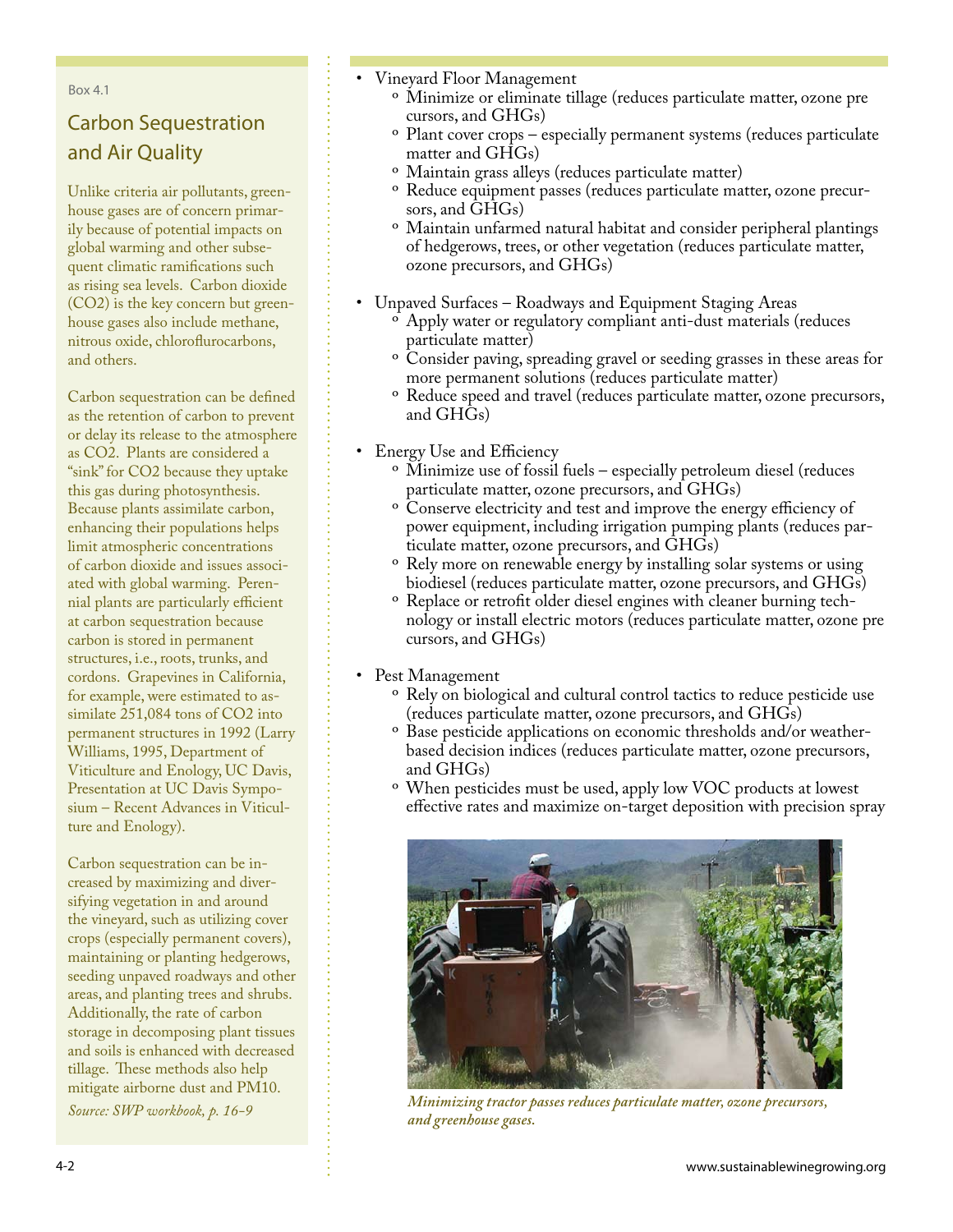Box 4.1

## Carbon Sequestration and Air Quality

Unlike criteria air pollutants, greenhouse gases are of concern primarily because of potential impacts on global warming and other subsequent climatic ramifications such as rising sea levels. Carbon dioxide (CO2) is the key concern but greenhouse gases also include methane, nitrous oxide, chloroflurocarbons, and others.

Carbon sequestration can be defined as the retention of carbon to prevent or delay its release to the atmosphere as CO2. Plants are considered a "sink" for CO2 because they uptake this gas during photosynthesis. Because plants assimilate carbon, enhancing their populations helps limit atmospheric concentrations of carbon dioxide and issues associated with global warming. Perennial plants are particularly efficient at carbon sequestration because carbon is stored in permanent structures, i.e., roots, trunks, and cordons. Grapevines in California, for example, were estimated to assimilate 251,084 tons of CO2 into permanent structures in 1992 (Larry Williams, 1995, Department of Viticulture and Enology, UC Davis, Presentation at UC Davis Symposium – Recent Advances in Viticulture and Enology).

Carbon sequestration can be increased by maximizing and diversifying vegetation in and around the vineyard, such as utilizing cover crops (especially permanent covers), maintaining or planting hedgerows, seeding unpaved roadways and other areas, and planting trees and shrubs. Additionally, the rate of carbon storage in decomposing plant tissues and soils is enhanced with decreased tillage. These methods also help mitigate airborne dust and PM10.

*Source: SWP workbook, p. 16-9* 

- Vineyard Floor Management •
	- <sup>o</sup> Minimize or eliminate tillage (reduces particulate matter, ozone pre cursors, and GHGs)
	- <sup>o</sup> Plant cover crops especially permanent systems (reduces particulate matter and GHGs)
	- Maintain grass alleys (reduces particulate matter) º
	- ° Reduce equipment passes (reduces particulate matter, ozone precursors, and GHGs)
	- <sup>o</sup> Maintain unfarmed natural habitat and consider peripheral plantings of hedgerows, trees, or other vegetation (reduces particulate matter, ozone precursors, and GHGs)
- Unpaved Surfaces Roadways and Equipment Staging Areas
	- Apply water or regulatory compliant anti-dust materials (reduces º particulate matter)
	- <sup>o</sup> Consider paving, spreading gravel or seeding grasses in these areas for more permanent solutions (reduces particulate matter)
	- <sup>o</sup> Reduce speed and travel (reduces particulate matter, ozone precursors, and GHGs)
- Energy Use and Efficiency
	- <sup>o</sup> Minimize use of fossil fuels especially petroleum diesel (reduces particulate matter, ozone precursors, and GHGs)
	- <sup>o</sup> Conserve electricity and test and improve the energy efficiency of power equipment, including irrigation pumping plants (reduces particulate matter, ozone precursors, and GHGs)
	- <sup>o</sup> Rely more on renewable energy by installing solar systems or using biodiesel (reduces particulate matter, ozone precursors, and GHGs)
	- <sup>o</sup> Replace or retrofit older diesel engines with cleaner burning technology or install electric motors (reduces particulate matter, ozone pre cursors, and GHGs)
- Pest Management
	- <sup>o</sup> Rely on biological and cultural control tactics to reduce pesticide use (reduces particulate matter, ozone precursors, and GHGs)
	- <sup>o</sup> Base pesticide applications on economic thresholds and/or weatherbased decision indices (reduces particulate matter, ozone precursors, and GHGs)
	- <sup>o</sup> When pesticides must be used, apply low VOC products at lowest effective rates and maximize on-target deposition with precision spray



*Minimizing tractor passes reduces particulate matter, ozone precursors, and greenhouse gases.*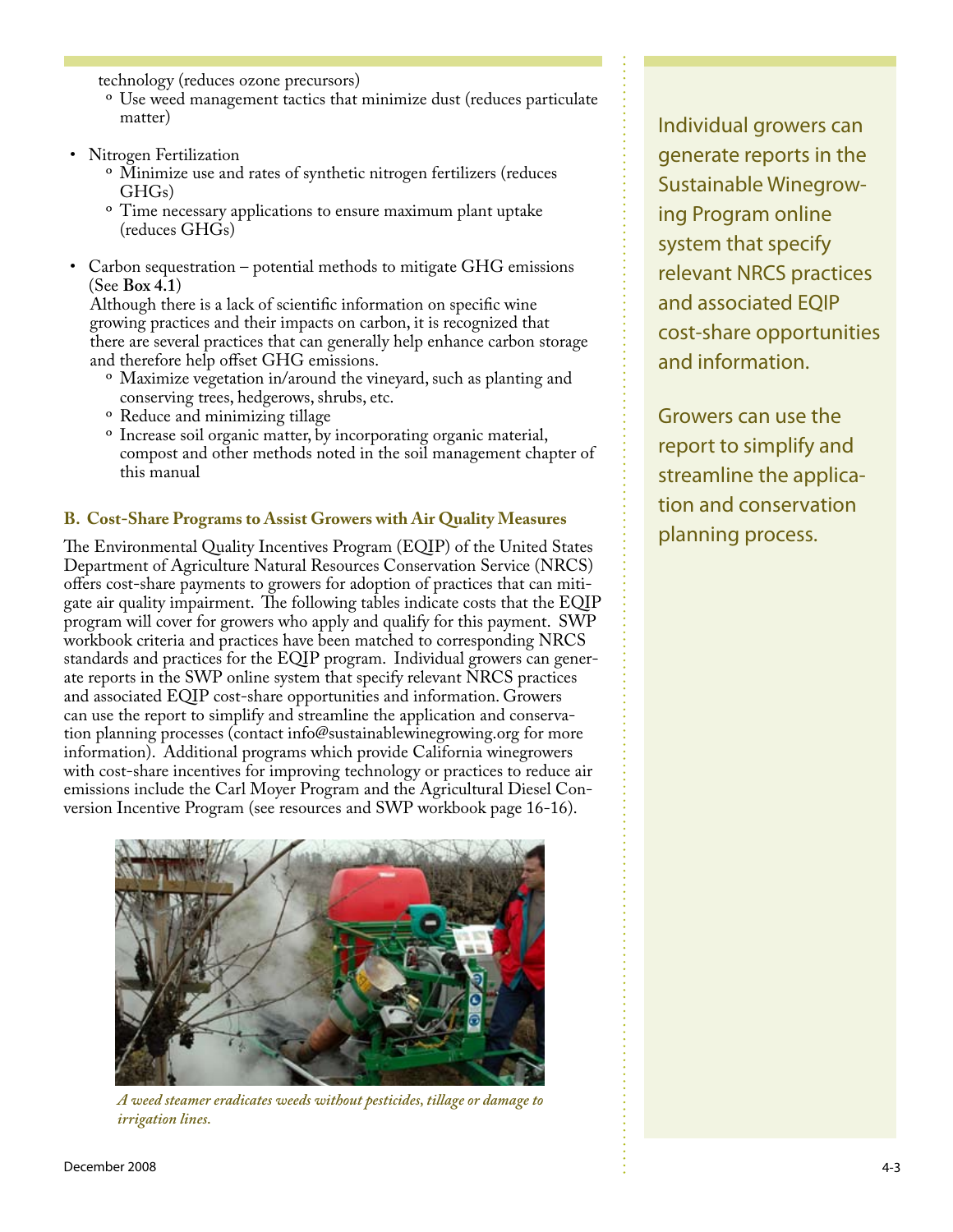technology (reduces ozone precursors)

- <sup>o</sup> Use weed management tactics that minimize dust (reduces particulate matter)
- Nitrogen Fertilization
	- Minimize use and rates of synthetic nitrogen fertilizers (reduces º GHGs)
	- <sup>o</sup> Time necessary applications to ensure maximum plant uptake (reduces GHGs)
- Carbon sequestration potential methods to mitigate GHG emissions (See **Box 4.1**) •

 Although there is a lack of scientific information on specific wine growing practices and their impacts on carbon, it is recognized that there are several practices that can generally help enhance carbon storage and therefore help offset GHG emissions.

- Maximize vegetation in/around the vineyard, such as planting and º conserving trees, hedgerows, shrubs, etc.
- <sup>o</sup> Reduce and minimizing tillage
- <sup>o</sup> Increase soil organic matter, by incorporating organic material, compost and other methods noted in the soil management chapter of this manual

#### **B. Cost-Share Programs to Assist Growers with Air Quality Measures**

The Environmental Quality Incentives Program (EQIP) of the United States Department of Agriculture Natural Resources Conservation Service (NRCS) offers cost-share payments to growers for adoption of practices that can mitigate air quality impairment. The following tables indicate costs that the EQIP program will cover for growers who apply and qualify for this payment. SWP workbook criteria and practices have been matched to corresponding NRCS standards and practices for the EQIP program. Individual growers can generate reports in the SWP online system that specify relevant NRCS practices and associated EQIP cost-share opportunities and information. Growers can use the report to simplify and streamline the application and conservation planning processes (contact [info@sustainablewinegrowing.org](http://www.sustainablewinegrowing.org/contactus.php) for more information). Additional programs which provide California winegrowers with cost-share incentives for improving technology or practices to reduce air emissions include the Carl Moyer Program and the Agricultural Diesel Conversion Incentive Program (see resources and SWP workbook page 16-16).



*A weed steamer eradicates weeds without pesticides, tillage or damage to irrigation lines.* 

Individual growers can generate reports in the Sustainable Winegrowing Program online system that specify relevant NRCS practices and associated EQIP cost-share opportunities and information.

Growers can use the report to simplify and streamline the application and conservation planning process.